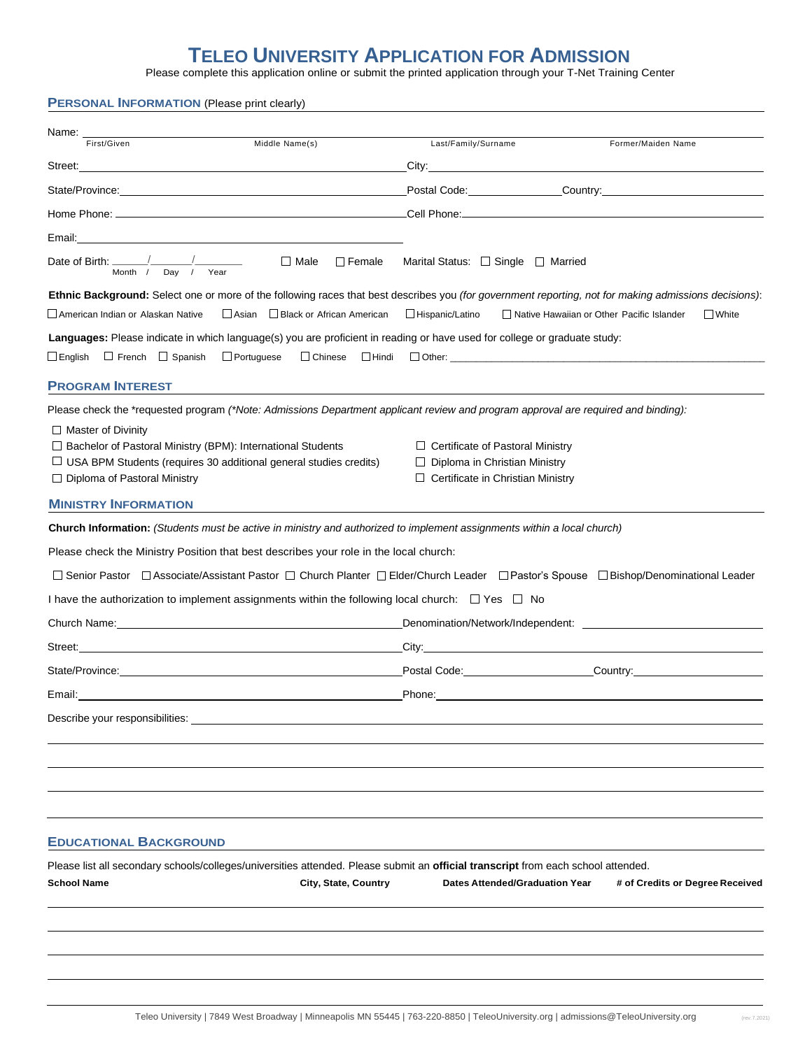## **TELEO UNIVERSITY APPLICATION FOR ADMISSION**

Please complete this application online or submit the printed application through your T-Net Training Center

## **PERSONAL INFORMATION** (Please print clearly)

| Name:<br>First/Given<br>Middle Name(s)                                                                                                                                                                                         | Last/Family/Surname<br>Former/Maiden Name                                                                                                                                                                                      |
|--------------------------------------------------------------------------------------------------------------------------------------------------------------------------------------------------------------------------------|--------------------------------------------------------------------------------------------------------------------------------------------------------------------------------------------------------------------------------|
|                                                                                                                                                                                                                                | City: City:                                                                                                                                                                                                                    |
|                                                                                                                                                                                                                                | Postal Code: Communication Country: Country:                                                                                                                                                                                   |
|                                                                                                                                                                                                                                |                                                                                                                                                                                                                                |
|                                                                                                                                                                                                                                |                                                                                                                                                                                                                                |
| Date of Birth: $\frac{\sqrt{2}}{2}$<br>$\Box$ Male $\Box$ Female<br>Month / Day / Year                                                                                                                                         | Marital Status: □ Single □ Married                                                                                                                                                                                             |
|                                                                                                                                                                                                                                | Ethnic Background: Select one or more of the following races that best describes you (for government reporting, not for making admissions decisions):                                                                          |
| American Indian or Alaskan Native<br>Asian Black or African American                                                                                                                                                           | Hispanic/Latino<br>Native Hawaiian or Other Pacific Islander<br>$\Box$ White                                                                                                                                                   |
| Languages: Please indicate in which language(s) you are proficient in reading or have used for college or graduate study:                                                                                                      |                                                                                                                                                                                                                                |
| □ English □ French □ Spanish<br>$\Box$ Portuguese                                                                                                                                                                              |                                                                                                                                                                                                                                |
| <b>PROGRAM INTEREST</b>                                                                                                                                                                                                        |                                                                                                                                                                                                                                |
| Please check the *requested program (*Note: Admissions Department applicant review and program approval are required and binding):                                                                                             |                                                                                                                                                                                                                                |
| $\Box$ Master of Divinity<br>□ Bachelor of Pastoral Ministry (BPM): International Students<br>$\Box$ USA BPM Students (requires 30 additional general studies credits)<br>$\Box$ Diploma of Pastoral Ministry                  | $\Box$ Certificate of Pastoral Ministry<br>$\Box$ Diploma in Christian Ministry<br>$\Box$ Certificate in Christian Ministry                                                                                                    |
| <b>MINISTRY INFORMATION</b>                                                                                                                                                                                                    |                                                                                                                                                                                                                                |
| Church Information: (Students must be active in ministry and authorized to implement assignments within a local church)                                                                                                        |                                                                                                                                                                                                                                |
| Please check the Ministry Position that best describes your role in the local church:                                                                                                                                          |                                                                                                                                                                                                                                |
|                                                                                                                                                                                                                                | □ Senior Pastor □ Associate/Assistant Pastor □ Church Planter □ Elder/Church Leader □ Pastor's Spouse □ Bishop/Denominational Leader                                                                                           |
| I have the authorization to implement assignments within the following local church: $\Box$ Yes $\Box$ No                                                                                                                      |                                                                                                                                                                                                                                |
|                                                                                                                                                                                                                                |                                                                                                                                                                                                                                |
| Street: with a street of the street of the street of the street of the street of the street of the street of the street of the street of the street of the street of the street of the street of the street of the street of t |                                                                                                                                                                                                                                |
|                                                                                                                                                                                                                                | Postal Code: Country: Country:                                                                                                                                                                                                 |
|                                                                                                                                                                                                                                | Phone: Note: 2008 and 2008 and 2008 and 2008 and 2008 and 2008 and 2008 and 2008 and 2008 and 2008 and 2008 and 2008 and 2008 and 2008 and 2008 and 2008 and 2008 and 2008 and 2008 and 2008 and 2008 and 2008 and 2008 and 20 |
| Describe your responsibilities:                                                                                                                                                                                                |                                                                                                                                                                                                                                |
|                                                                                                                                                                                                                                |                                                                                                                                                                                                                                |
|                                                                                                                                                                                                                                |                                                                                                                                                                                                                                |
|                                                                                                                                                                                                                                |                                                                                                                                                                                                                                |
|                                                                                                                                                                                                                                |                                                                                                                                                                                                                                |
| <b>EDUCATIONAL BACKGROUND</b>                                                                                                                                                                                                  |                                                                                                                                                                                                                                |
| Please list all secondary schools/colleges/universities attended. Please submit an official transcript from each school attended.                                                                                              |                                                                                                                                                                                                                                |
| <b>School Name</b><br>City, State, Country                                                                                                                                                                                     | <b>Dates Attended/Graduation Year</b><br># of Credits or Degree Received                                                                                                                                                       |
|                                                                                                                                                                                                                                |                                                                                                                                                                                                                                |
|                                                                                                                                                                                                                                |                                                                                                                                                                                                                                |
|                                                                                                                                                                                                                                |                                                                                                                                                                                                                                |
|                                                                                                                                                                                                                                |                                                                                                                                                                                                                                |